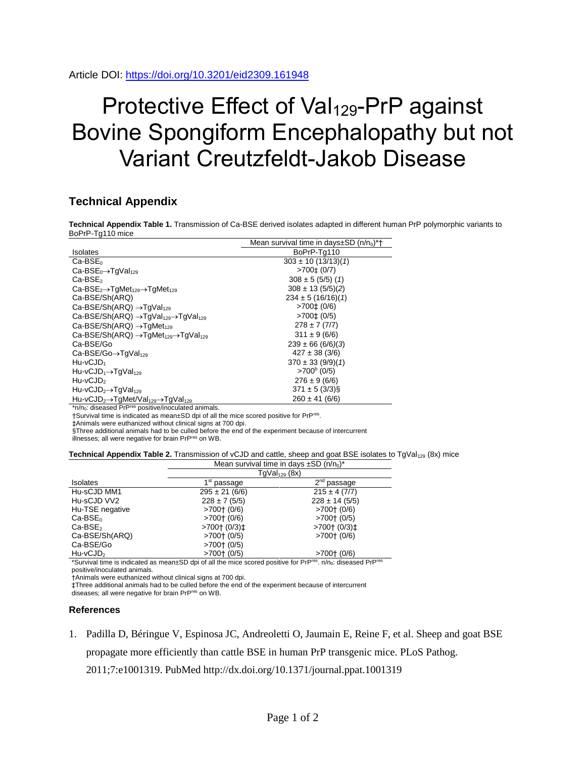## Protective Effect of Val<sub>129</sub>-PrP against Bovine Spongiform Encephalopathy but not Variant Creutzfeldt-Jakob Disease

## **Technical Appendix**

**Technical Appendix Table 1.** Transmission of Ca-BSE derived isolates adapted in different human PrP polymorphic variants to BoPrP-Tg110 mice

|                                                                                      | Mean survival time in days $\pm$ SD (n/n <sub>0</sub> )*† |  |
|--------------------------------------------------------------------------------------|-----------------------------------------------------------|--|
| <b>Isolates</b>                                                                      | BoPrP-Tq110                                               |  |
| $Ca-BSE0$                                                                            | $303 \pm 10 (13/13)(1)$                                   |  |
| $Ca-BSE0\rightarrow TgVal129$                                                        | $>700‡$ (0/7)                                             |  |
| $Ca-BSE2$                                                                            | $308 \pm 5 (5/5) (1)$                                     |  |
| $Ca-BSE2\rightarrow TgMet129\rightarrow TgMet129$                                    | $308 \pm 13$ (5/5)(2)                                     |  |
| Ca-BSE/Sh(ARQ)                                                                       | $234 \pm 5 (16/16)(1)$                                    |  |
| Ca-BSE/Sh(ARQ) $\rightarrow$ TgVal <sub>129</sub>                                    | $>700 \pm (0/6)$                                          |  |
| Ca-BSE/Sh(ARQ) $\rightarrow$ TgVal <sub>129</sub> $\rightarrow$ TgVal <sub>129</sub> | $>700 \pm (0/5)$                                          |  |
| Ca-BSE/Sh(ARQ) $\rightarrow$ TgMet <sub>129</sub>                                    | $278 \pm 7(7/7)$                                          |  |
| Ca-BSE/Sh(ARQ) $\rightarrow$ TgMet <sub>129</sub> $\rightarrow$ TgVal <sub>129</sub> | $311 \pm 9(6/6)$                                          |  |
| Ca-BSE/Go                                                                            | $239 \pm 66 (6/6)(3)$                                     |  |
| $Ca-BSE/Go \rightarrow TgVal129$                                                     | $427 \pm 38$ (3/6)                                        |  |
| $Hu-vCJD_1$                                                                          | $370 \pm 33 (9/9)(1)$                                     |  |
| $Hu$ -vCJD <sub>1</sub> $\rightarrow$ TgVal <sub>129</sub>                           | $>700^6$ (0/5)                                            |  |
| $Hu$ -v $CJD$ <sub>2</sub>                                                           | $276 \pm 9(6/6)$                                          |  |
| $Hu-vCJD_2 \rightarrow TgVal_{129}$                                                  | $371 \pm 5 (3/3)\$                                        |  |
| $Hu-vCJD_2 \rightarrow TqMet/Val_{129} \rightarrow TqVal_{129}$                      | $260 \pm 41$ (6/6)                                        |  |

\*n/n<sub>0</sub>: diseased PrP<sup>res</sup> positive/inoculated animals. †Survival time is indicated as mean±SD dpi of all the mice scored positive for PrPres .

‡Animals were euthanized without clinical signs at 700 dpi.

 $\S$ Three additional animals had to be culled before the end of the experiment because of intercurrent<br>illnesses; all were negative for brain PrP<sup>res</sup> on WB.

**Technical Appendix Table 2.** Transmission of vCJD and cattle, sheep and goat BSE isolates to TgVal<sub>129</sub> (8x) mice

| Mean survival time in days $\pm SD(n/n_0)^*$ |                    |
|----------------------------------------------|--------------------|
| TgVal <sub>129</sub> (8x)                    |                    |
| 1 <sup>st</sup> passage                      | $2nd$ passage      |
| $295 \pm 21 (6/6)$                           | $215 \pm 4 (7/7)$  |
| $228 \pm 7(5/5)$                             | $228 \pm 14 (5/5)$ |
| $>700$ $(0/6)$                               | $>700$ $(0/6)$     |
| $>700$ $(0/6)$                               | $>700$ $(0/5)$     |
| >700† (0/3) $\pm$                            | >700† (0/3) $\pm$  |
| $>700$ $(0/5)$                               | $>700$ $(0/6)$     |
| $>700$ $(0/5)$                               |                    |
| $>700$ $(0/5)$                               | $>700$ $(0/6)$     |
|                                              |                    |

\*Survival time is indicated as mean±SD dpi of all the mice scored positive for PrP<sup>res</sup>. n/n<sub>0</sub>: diseased PrP<sup>res</sup> positive/inoculated animals.

†Animals were euthanized without clinical signs at 700 dpi.

‡Three additional animals had to be culled before the end of the experiment because of intercurrent

diseases; all were negative for brain PrPres on WB.

## **References**

1. Padilla D, Béringue V, Espinosa JC, Andreoletti O, Jaumain E, Reine F, et al. Sheep and goat BSE propagate more efficiently than cattle BSE in human PrP transgenic mice. PLoS Pathog. 2011;7:e1001319. [PubMed](https://www.ncbi.nlm.nih.gov/pubmed/21445238?dopt=abstract) <http://dx.doi.org/10.1371/journal.ppat.1001319>